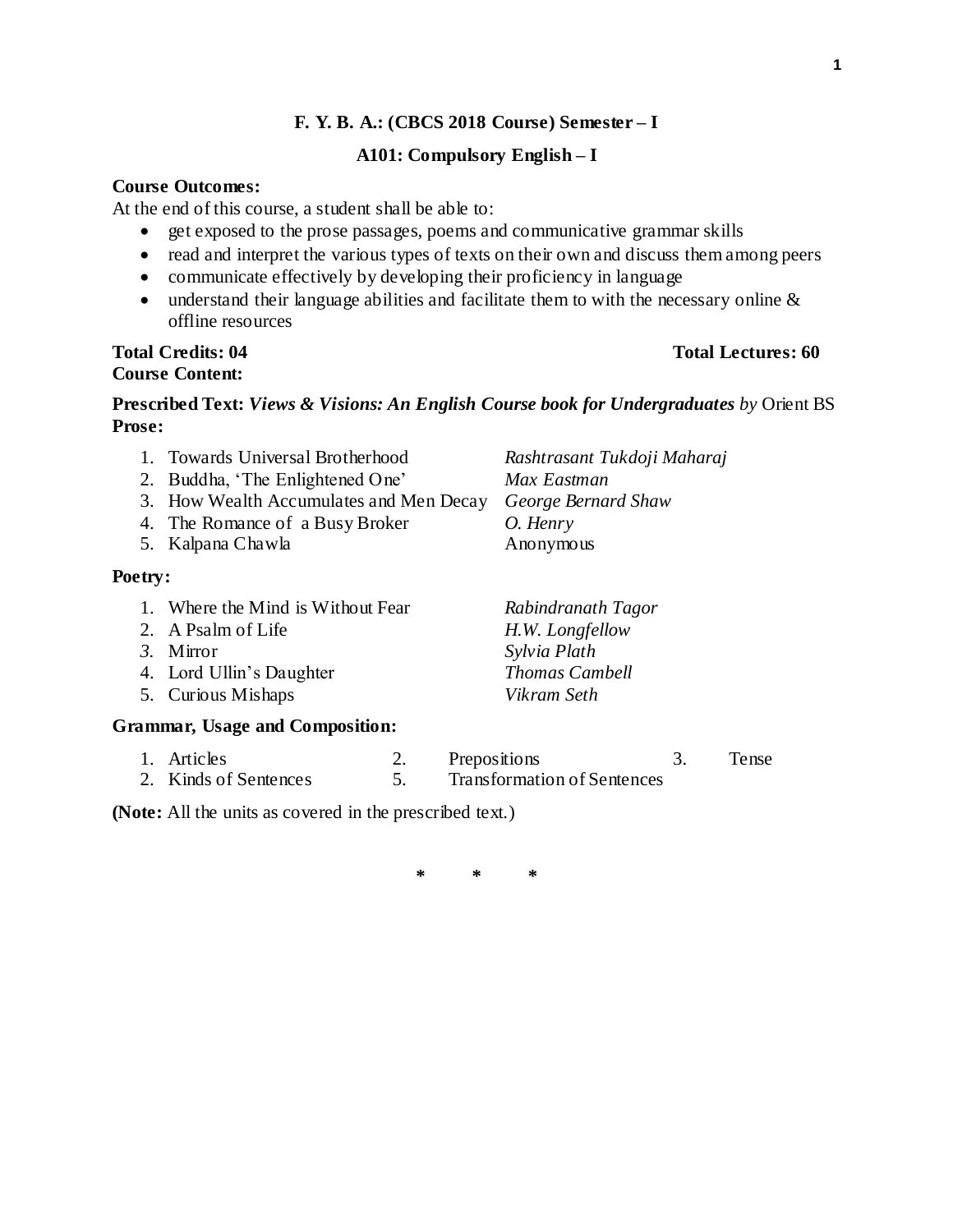#### **F. Y. B. A.: (CBCS 2018 Course) Semester – I**

#### **A101: Compulsory English – I**

#### **Course Outcomes:**

At the end of this course, a student shall be able to:

- get exposed to the prose passages, poems and communicative grammar skills
- read and interpret the various types of texts on their own and discuss them among peers
- communicate effectively by developing their proficiency in language
- understand their language abilities and facilitate them to with the necessary online  $\&$ offline resources

# **Course Content:**

### **Total Credits: 04 Total Lectures: 60**

### **Prescribed Text:** *Views & Visions: An English Course book for Undergraduates by* Orient BS **Prose:**

|                                        | 1. Towards Universal Brotherhood        | Rashtrasant Tukdoji Maharaj |  |  |
|----------------------------------------|-----------------------------------------|-----------------------------|--|--|
|                                        | 2. Buddha, 'The Enlightened One'        | Max Eastman                 |  |  |
|                                        | 3. How Wealth Accumulates and Men Decay | George Bernard Shaw         |  |  |
|                                        | 4. The Romance of a Busy Broker         | O. Henry                    |  |  |
|                                        | 5. Kalpana Chawla                       | Anonymous                   |  |  |
| Poetry:                                |                                         |                             |  |  |
|                                        | Where the Mind is Without Fear          | Rabindranath Tagor          |  |  |
|                                        | 2. A Psalm of Life                      | H.W. Longfellow             |  |  |
|                                        | 3. Mirror                               | Sylvia Plath                |  |  |
|                                        | 4. Lord Ullin's Daughter                | <b>Thomas Cambell</b>       |  |  |
|                                        | 5. Curious Mishaps                      | Vikram Seth                 |  |  |
| <b>Grammar, Usage and Composition:</b> |                                         |                             |  |  |

#### 1. Articles 2. Prepositions 3. Tense 2. Kinds of Sentences 5. Transformation of Sentences

**(Note:** All the units as covered in the prescribed text.)

**\* \* \***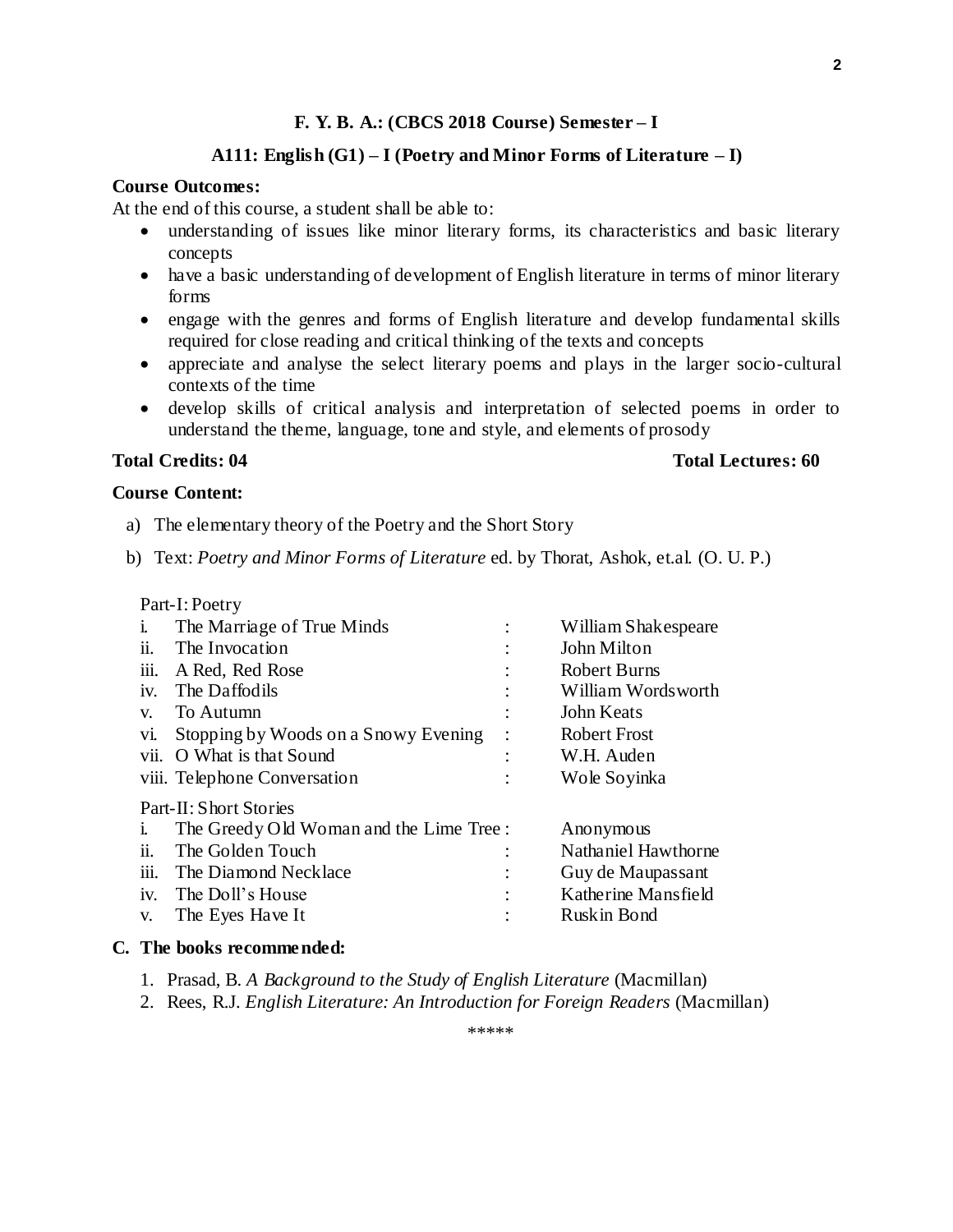#### **F. Y. B. A.: (CBCS 2018 Course) Semester – I**

#### **A111: English (G1) – I (Poetry and Minor Forms of Literature – I)**

#### **Course Outcomes:**

At the end of this course, a student shall be able to:

- understanding of issues like minor literary forms, its characteristics and basic literary concepts
- have a basic understanding of development of English literature in terms of minor literary forms
- engage with the genres and forms of English literature and develop fundamental skills required for close reading and critical thinking of the texts and concepts
- appreciate and analyse the select literary poems and plays in the larger socio-cultural contexts of the time
- develop skills of critical analysis and interpretation of selected poems in order to understand the theme, language, tone and style, and elements of prosody

#### **Total Credits: 04 Total Lectures: 60**

#### **Course Content:**

- a) The elementary theory of the Poetry and the Short Story
- b) Text: *Poetry and Minor Forms of Literature* ed. by Thorat, Ashok, et.al. (O. U. P.)

| Part-I: Poetry         |                                         |                |                     |  |
|------------------------|-----------------------------------------|----------------|---------------------|--|
| $\mathbf{1}$           | The Marriage of True Minds              |                | William Shakespeare |  |
| ii.                    | The Invocation                          |                | John Milton         |  |
|                        | iii. A Red, Red Rose                    |                | <b>Robert Burns</b> |  |
| 1V <sub>1</sub>        | The Daffodils                           |                | William Wordsworth  |  |
| V.                     | To Autumn                               |                | John Keats          |  |
| V1.                    | Stopping by Woods on a Snowy Evening    |                | <b>Robert Frost</b> |  |
|                        | vii. O What is that Sound               |                | W.H. Auden          |  |
|                        | viii. Telephone Conversation            | $\ddot{\cdot}$ | Wole Soyinka        |  |
| Part-II: Short Stories |                                         |                |                     |  |
| 1.                     | The Greedy Old Woman and the Lime Tree: |                | Anonymous           |  |
| ii.                    | The Golden Touch                        |                | Nathaniel Hawthorne |  |
| iii.                   | The Diamond Necklace                    |                | Guy de Maupassant   |  |
| iv.                    | The Doll's House                        | $\bullet$      | Katherine Mansfield |  |
| V.                     | The Eyes Have It                        |                | Ruskin Bond         |  |

#### **C. The books recommended:**

- 1. Prasad, B. *A Background to the Study of English Literature* (Macmillan)
- 2. Rees, R.J. *English Literature: An Introduction for Foreign Readers* (Macmillan)

\*\*\*\*\*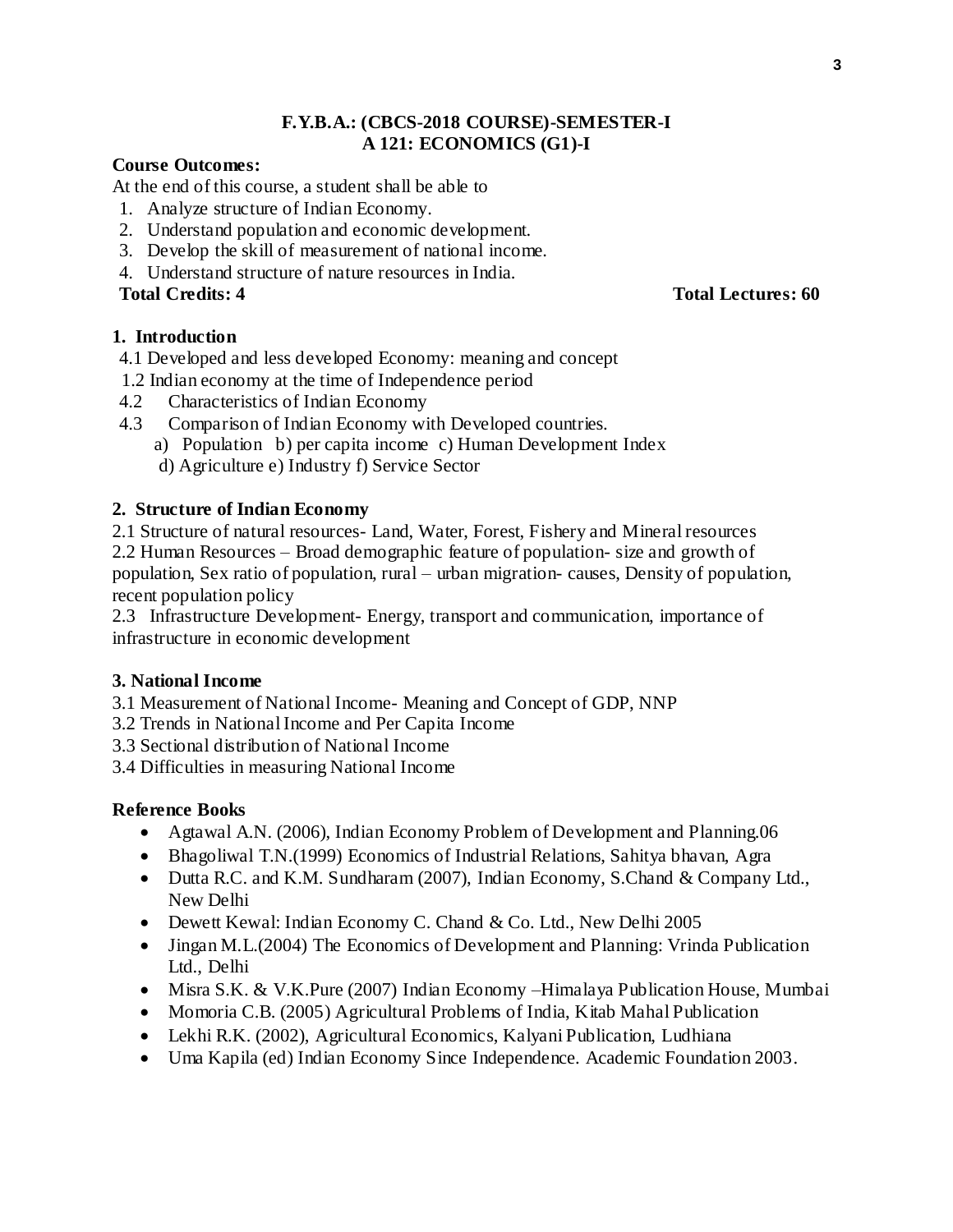#### **F.Y.B.A.: (CBCS-2018 COURSE)-SEMESTER-I A 121: ECONOMICS (G1)-I**

#### **Course Outcomes:**

At the end of this course, a student shall be able to

- 1. Analyze structure of Indian Economy.
- 2. Understand population and economic development.
- 3. Develop the skill of measurement of national income.
- 4. Understand structure of nature resources in India.

#### **1. Introduction**

- 4.1 Developed and less developed Economy: meaning and concept
- 1.2 Indian economy at the time of Independence period
- 4.2 Characteristics of Indian Economy
- 4.3 Comparison of Indian Economy with Developed countries.
	- a) Population b) per capita income c) Human Development Index
	- d) Agriculture e) Industry f) Service Sector

#### **2. Structure of Indian Economy**

2.1 Structure of natural resources- Land, Water, Forest, Fishery and Mineral resources 2.2 Human Resources – Broad demographic feature of population- size and growth of population, Sex ratio of population, rural – urban migration- causes, Density of population, recent population policy

2.3 Infrastructure Development- Energy, transport and communication, importance of infrastructure in economic development

#### **3. National Income**

- 3.1 Measurement of National Income- Meaning and Concept of GDP, NNP
- 3.2 Trends in National Income and Per Capita Income
- 3.3 Sectional distribution of National Income

3.4 Difficulties in measuring National Income

#### **Reference Books**

- Agtawal A.N. (2006), Indian Economy Problem of Development and Planning.06
- Bhagoliwal T.N.(1999) Economics of Industrial Relations, Sahitya bhavan, Agra
- Dutta R.C. and K.M. Sundharam (2007), Indian Economy, S.Chand & Company Ltd., New Delhi
- Dewett Kewal: Indian Economy C. Chand & Co. Ltd., New Delhi 2005
- Jingan M.L.(2004) The Economics of Development and Planning: Vrinda Publication Ltd., Delhi
- Misra S.K. & V.K.Pure (2007) Indian Economy –Himalaya Publication House, Mumbai
- Momoria C.B. (2005) Agricultural Problems of India, Kitab Mahal Publication
- Lekhi R.K. (2002), Agricultural Economics, Kalyani Publication, Ludhiana
- Uma Kapila (ed) Indian Economy Since Independence. Academic Foundation 2003.

#### **Total Credits: 4 Total Lectures: 60**